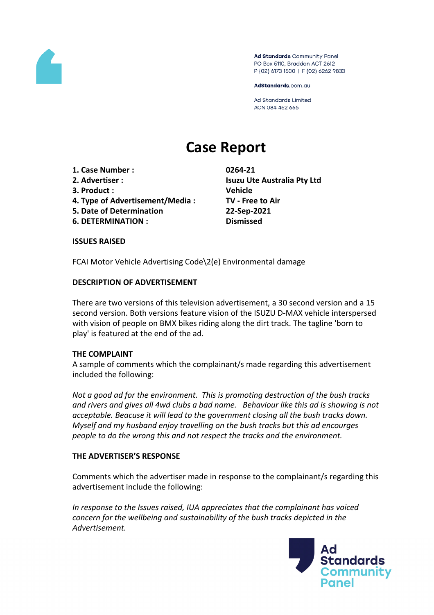

Ad Standards Community Panel PO Box 5110, Braddon ACT 2612 P (02) 6173 1500 | F (02) 6262 9833

AdStandards.com.au

**Ad Standards Limited** ACN 084 452 666

# **Case Report**

- **1. Case Number : 0264-21**
- 
- **3. Product : Vehicle**
- **4. Type of Advertisement/Media : TV - Free to Air**
- **5. Date of Determination 22-Sep-2021**
- **6. DETERMINATION : Dismissed**

**2. Advertiser : Isuzu Ute Australia Pty Ltd**

## **ISSUES RAISED**

FCAI Motor Vehicle Advertising Code\2(e) Environmental damage

## **DESCRIPTION OF ADVERTISEMENT**

There are two versions of this television advertisement, a 30 second version and a 15 second version. Both versions feature vision of the ISUZU D-MAX vehicle interspersed with vision of people on BMX bikes riding along the dirt track. The tagline 'born to play' is featured at the end of the ad.

## **THE COMPLAINT**

A sample of comments which the complainant/s made regarding this advertisement included the following:

*Not a good ad for the environment. This is promoting destruction of the bush tracks and rivers and gives all 4wd clubs a bad name. Behaviour like this ad is showing is not acceptable. Beacuse it will lead to the government closing all the bush tracks down. Myself and my husband enjoy travelling on the bush tracks but this ad encourges people to do the wrong this and not respect the tracks and the environment.*

## **THE ADVERTISER'S RESPONSE**

Comments which the advertiser made in response to the complainant/s regarding this advertisement include the following:

*In response to the Issues raised, IUA appreciates that the complainant has voiced concern for the wellbeing and sustainability of the bush tracks depicted in the Advertisement.*

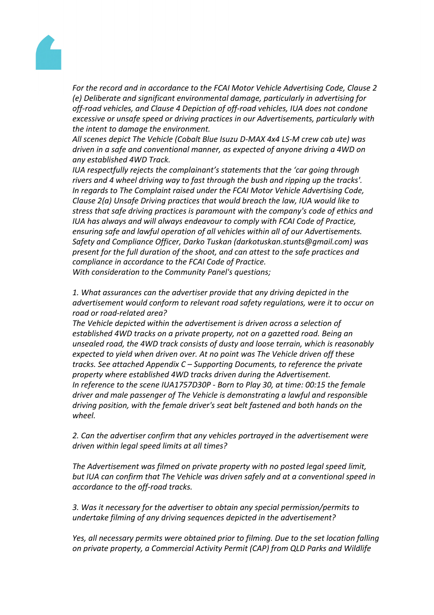

*For the record and in accordance to the FCAI Motor Vehicle Advertising Code, Clause 2 (e) Deliberate and significant environmental damage, particularly in advertising for off-road vehicles, and Clause 4 Depiction of off-road vehicles, IUA does not condone excessive or unsafe speed or driving practices in our Advertisements, particularly with the intent to damage the environment.*

*All scenes depict The Vehicle (Cobalt Blue Isuzu D-MAX 4x4 LS-M crew cab ute) was driven in a safe and conventional manner, as expected of anyone driving a 4WD on any established 4WD Track.*

*IUA respectfully rejects the complainant's statements that the 'car going through rivers and 4 wheel driving way to fast through the bush and ripping up the tracks'. In regards to The Complaint raised under the FCAI Motor Vehicle Advertising Code, Clause 2(a) Unsafe Driving practices that would breach the law, IUA would like to stress that safe driving practices is paramount with the company's code of ethics and IUA has always and will always endeavour to comply with FCAI Code of Practice, ensuring safe and lawful operation of all vehicles within all of our Advertisements. Safety and Compliance Officer, Darko Tuskan (darkotuskan.stunts@gmail.com) was present for the full duration of the shoot, and can attest to the safe practices and compliance in accordance to the FCAI Code of Practice. With consideration to the Community Panel's questions;*

*1. What assurances can the advertiser provide that any driving depicted in the advertisement would conform to relevant road safety regulations, were it to occur on road or road-related area?*

*The Vehicle depicted within the advertisement is driven across a selection of established 4WD tracks on a private property, not on a gazetted road. Being an unsealed road, the 4WD track consists of dusty and loose terrain, which is reasonably expected to yield when driven over. At no point was The Vehicle driven off these tracks. See attached Appendix C – Supporting Documents, to reference the private property where established 4WD tracks driven during the Advertisement. In reference to the scene IUA1757D30P - Born to Play 30, at time: 00:15 the female driver and male passenger of The Vehicle is demonstrating a lawful and responsible driving position, with the female driver's seat belt fastened and both hands on the wheel.*

*2. Can the advertiser confirm that any vehicles portrayed in the advertisement were driven within legal speed limits at all times?*

*The Advertisement was filmed on private property with no posted legal speed limit, but IUA can confirm that The Vehicle was driven safely and at a conventional speed in accordance to the off-road tracks.*

*3. Was it necessary for the advertiser to obtain any special permission/permits to undertake filming of any driving sequences depicted in the advertisement?*

*Yes, all necessary permits were obtained prior to filming. Due to the set location falling on private property, a Commercial Activity Permit (CAP) from QLD Parks and Wildlife*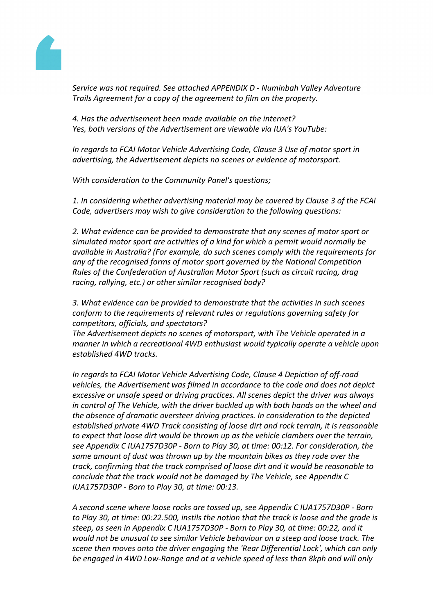

*Service was not required. See attached APPENDIX D - Numinbah Valley Adventure Trails Agreement for a copy of the agreement to film on the property.*

*4. Has the advertisement been made available on the internet? Yes, both versions of the Advertisement are viewable via IUA's YouTube:*

*In regards to FCAI Motor Vehicle Advertising Code, Clause 3 Use of motor sport in advertising, the Advertisement depicts no scenes or evidence of motorsport.*

*With consideration to the Community Panel's questions;*

*1. In considering whether advertising material may be covered by Clause 3 of the FCAI Code, advertisers may wish to give consideration to the following questions:*

*2. What evidence can be provided to demonstrate that any scenes of motor sport or simulated motor sport are activities of a kind for which a permit would normally be available in Australia? (For example, do such scenes comply with the requirements for any of the recognised forms of motor sport governed by the National Competition Rules of the Confederation of Australian Motor Sport (such as circuit racing, drag racing, rallying, etc.) or other similar recognised body?*

*3. What evidence can be provided to demonstrate that the activities in such scenes conform to the requirements of relevant rules or regulations governing safety for competitors, officials, and spectators?*

*The Advertisement depicts no scenes of motorsport, with The Vehicle operated in a manner in which a recreational 4WD enthusiast would typically operate a vehicle upon established 4WD tracks.*

*In regards to FCAI Motor Vehicle Advertising Code, Clause 4 Depiction of off-road vehicles, the Advertisement was filmed in accordance to the code and does not depict excessive or unsafe speed or driving practices. All scenes depict the driver was always in control of The Vehicle, with the driver buckled up with both hands on the wheel and the absence of dramatic oversteer driving practices. In consideration to the depicted established private 4WD Track consisting of loose dirt and rock terrain, it is reasonable to expect that loose dirt would be thrown up as the vehicle clambers over the terrain, see Appendix C IUA1757D30P - Born to Play 30, at time: 00:12. For consideration, the same amount of dust was thrown up by the mountain bikes as they rode over the track, confirming that the track comprised of loose dirt and it would be reasonable to conclude that the track would not be damaged by The Vehicle, see Appendix C IUA1757D30P - Born to Play 30, at time: 00:13.*

*A second scene where loose rocks are tossed up, see Appendix C IUA1757D30P - Born to Play 30, at time: 00:22.500, instils the notion that the track is loose and the grade is steep, as seen in Appendix C IUA1757D30P - Born to Play 30, at time: 00:22, and it would not be unusual to see similar Vehicle behaviour on a steep and loose track. The scene then moves onto the driver engaging the 'Rear Differential Lock', which can only be engaged in 4WD Low-Range and at a vehicle speed of less than 8kph and will only*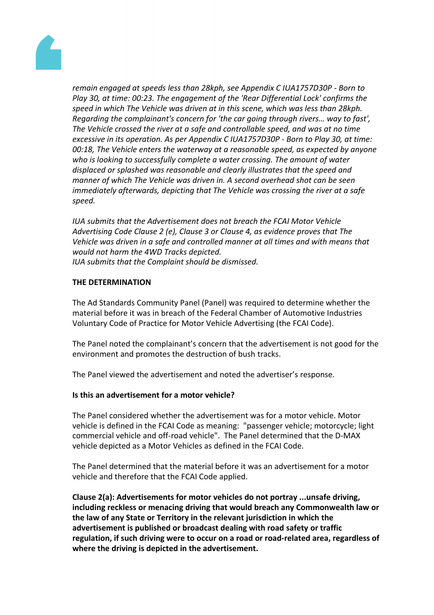

*remain engaged at speeds less than 28kph, see Appendix C IUA1757D30P - Born to Play 30, at time: 00:23. The engagement of the 'Rear Differential Lock' confirms the speed in which The Vehicle was driven at in this scene, which was less than 28kph. Regarding the complainant's concern for 'the car going through rivers… way to fast', The Vehicle crossed the river at a safe and controllable speed, and was at no time excessive in its operation. As per Appendix C IUA1757D30P - Born to Play 30, at time: 00:18, The Vehicle enters the waterway at a reasonable speed, as expected by anyone who is looking to successfully complete a water crossing. The amount of water displaced or splashed was reasonable and clearly illustrates that the speed and manner of which The Vehicle was driven in. A second overhead shot can be seen immediately afterwards, depicting that The Vehicle was crossing the river at a safe speed.*

*IUA submits that the Advertisement does not breach the FCAI Motor Vehicle Advertising Code Clause 2 (e), Clause 3 or Clause 4, as evidence proves that The Vehicle was driven in a safe and controlled manner at all times and with means that would not harm the 4WD Tracks depicted. IUA submits that the Complaint should be dismissed.*

## **THE DETERMINATION**

The Ad Standards Community Panel (Panel) was required to determine whether the material before it was in breach of the Federal Chamber of Automotive Industries Voluntary Code of Practice for Motor Vehicle Advertising (the FCAI Code).

The Panel noted the complainant's concern that the advertisement is not good for the environment and promotes the destruction of bush tracks.

The Panel viewed the advertisement and noted the advertiser's response.

# **Is this an advertisement for a motor vehicle?**

The Panel considered whether the advertisement was for a motor vehicle. Motor vehicle is defined in the FCAI Code as meaning: "passenger vehicle; motorcycle; light commercial vehicle and off-road vehicle". The Panel determined that the D-MAX vehicle depicted as a Motor Vehicles as defined in the FCAI Code.

The Panel determined that the material before it was an advertisement for a motor vehicle and therefore that the FCAI Code applied.

**Clause 2(a): Advertisements for motor vehicles do not portray ...unsafe driving, including reckless or menacing driving that would breach any Commonwealth law or the law of any State or Territory in the relevant jurisdiction in which the advertisement is published or broadcast dealing with road safety or traffic regulation, if such driving were to occur on a road or road-related area, regardless of where the driving is depicted in the advertisement.**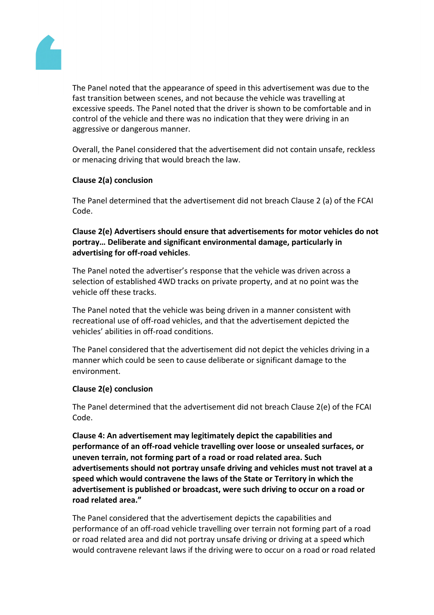

The Panel noted that the appearance of speed in this advertisement was due to the fast transition between scenes, and not because the vehicle was travelling at excessive speeds. The Panel noted that the driver is shown to be comfortable and in control of the vehicle and there was no indication that they were driving in an aggressive or dangerous manner.

Overall, the Panel considered that the advertisement did not contain unsafe, reckless or menacing driving that would breach the law.

## **Clause 2(a) conclusion**

The Panel determined that the advertisement did not breach Clause 2 (a) of the FCAI Code.

# **Clause 2(e) Advertisers should ensure that advertisements for motor vehicles do not portray… Deliberate and significant environmental damage, particularly in advertising for off-road vehicles**.

The Panel noted the advertiser's response that the vehicle was driven across a selection of established 4WD tracks on private property, and at no point was the vehicle off these tracks.

The Panel noted that the vehicle was being driven in a manner consistent with recreational use of off-road vehicles, and that the advertisement depicted the vehicles' abilities in off-road conditions.

The Panel considered that the advertisement did not depict the vehicles driving in a manner which could be seen to cause deliberate or significant damage to the environment.

# **Clause 2(e) conclusion**

The Panel determined that the advertisement did not breach Clause 2(e) of the FCAI Code.

**Clause 4: An advertisement may legitimately depict the capabilities and performance of an off-road vehicle travelling over loose or unsealed surfaces, or uneven terrain, not forming part of a road or road related area. Such advertisements should not portray unsafe driving and vehicles must not travel at a speed which would contravene the laws of the State or Territory in which the advertisement is published or broadcast, were such driving to occur on a road or road related area."**

The Panel considered that the advertisement depicts the capabilities and performance of an off-road vehicle travelling over terrain not forming part of a road or road related area and did not portray unsafe driving or driving at a speed which would contravene relevant laws if the driving were to occur on a road or road related